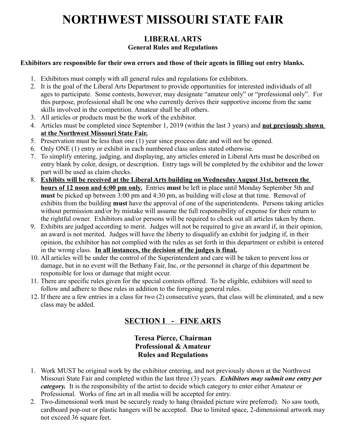# **NORTHWEST MISSOURI STATE FAIR**

# **LIBERAL ARTS General Rules and Regulations**

#### **Exhibitors are responsible for their own errors and those of their agents in filling out entry blanks.**

- 1. Exhibitors must comply with all general rules and regulations for exhibitors.
- 2. It is the goal of the Liberal Arts Department to provide opportunities for interested individuals of all ages to participate. Some contests, however, may designate "amateur only" or "professional only". For this purpose, professional shall be one who currently derives their supportive income from the same skills involved in the competition. Amateur shall be all others.
- 3. All articles or products must be the work of the exhibitor.
- 4. Articles must be completed since September 1, 2019 (within the last 3 years) and **not previously shown at the Northwest Missouri State Fair.**
- 5. Preservation must be less than one (1) year since process date and will not be opened.
- 6. Only ONE (1) entry or exhibit in each numbered class unless stated otherwise.
- 7. To simplify entering, judging, and displaying, any articles entered in Liberal Arts must be described on entry blank by color, design, or description. Entry tags will be completed by the exhibitor and the lower part will be used as claim checks.
- 8. **Exhibits will be received at the Liberal Arts building on Wednesday August 31st, between the hours of 12 noon and 6:00 pm only.** Entries **must** be left in place until Monday September 5th and **must** be picked up between 3:00 pm and 4:30 pm, as building will close at that time. Removal of exhibits from the building **must** have the approval of one of the superintendents. Persons taking articles without permission and/or by mistake will assume the full responsibility of expense for their return to the rightful owner. Exhibitors and/or persons will be required to check out all articles taken by them.
- 9. Exhibits are judged according to merit. Judges will not be required to give an award if, in their opinion, an award is not merited. Judges will have the liberty to disqualify an exhibit for judging if, in their opinion, the exhibitor has not complied with the rules as set forth in this department or exhibit is entered in the wrong class. **In all instances, the decision of the judges is final.**
- 10. All articles will be under the control of the Superintendent and care will be taken to prevent loss or damage, but in no event will the Bethany Fair, Inc, or the personnel in charge of this department be responsible for loss or damage that might occur.
- 11. There are specific rules given for the special contests offered. To be eligible, exhibitors will need to follow and adhere to these rules in addition to the foregoing general rules.
- 12. If there are a few entries in a class for two (2) consecutive years, that class will be eliminated, and a new class may be added.

# **SECTION I - FINE ARTS**

# **Teresa Pierce, Chairman Professional & Amateur Rules and Regulations**

- 1. Work MUST be original work by the exhibitor entering, and not previously shown at the Northwest Missouri State Fair and completed within the last three (3) years. *Exhibitors may submit one entry per category.* It is the responsibility of the artist to decide which category to enter either Amateur or Professional. Works of fine art in all media will be accepted for entry.
- 2. Two-dimensional work must be securely ready to hang (braided picture wire preferred). No saw tooth, cardboard pop-out or plastic hangers will be accepted. Due to limited space, 2-dimensional artwork may not exceed 36 square feet.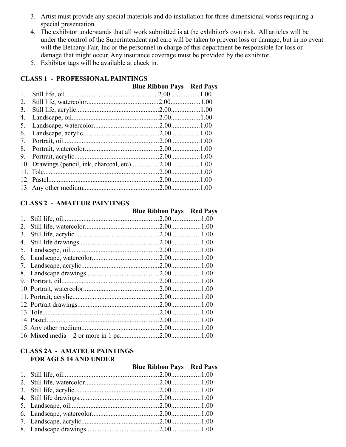- 3. Artist must provide any special materials and do installation for three-dimensional works requiring a special presentation.
- 4. The exhibitor understands that all work submitted is at the exhibitor's own risk. All articles will be under the control of the Superintendent and care will be taken to prevent loss or damage, but in no event will the Bethany Fair, Inc or the personnel in charge of this department be responsible for loss or damage that might occur. Any insurance coverage must be provided by the exhibitor.
- 5. Exhibitor tags will be available at check in.

### **CLASS 1 - PROFESSIONAL PAINTINGS**

|    | <b>Blue Ribbon Pays Red Pays</b> |  |
|----|----------------------------------|--|
| 1. |                                  |  |
| 2. |                                  |  |
| 3. |                                  |  |
| 4. |                                  |  |
| 5. |                                  |  |
| 6. |                                  |  |
| 7. |                                  |  |
| 8. |                                  |  |
|    |                                  |  |
|    |                                  |  |
|    |                                  |  |
|    |                                  |  |
|    |                                  |  |

### **CLASS 2 - AMATEUR PAINTINGS**

|    | <b>Blue Ribbon Pays Red Pays</b> |  |
|----|----------------------------------|--|
|    |                                  |  |
|    |                                  |  |
| 3. |                                  |  |
|    |                                  |  |
|    |                                  |  |
|    |                                  |  |
|    |                                  |  |
|    |                                  |  |
|    |                                  |  |
|    |                                  |  |
|    |                                  |  |
|    |                                  |  |
|    |                                  |  |
|    |                                  |  |
|    |                                  |  |
|    |                                  |  |

#### **CLASS 2A - AMATEUR PAINTINGS FOR AGES 14 AND UNDER**

| TORINING THEFT CHER |                                  |  |
|---------------------|----------------------------------|--|
|                     | <b>Blue Ribbon Pays Red Pays</b> |  |
|                     |                                  |  |
|                     |                                  |  |
|                     |                                  |  |
|                     |                                  |  |
|                     |                                  |  |
|                     |                                  |  |
|                     |                                  |  |
|                     |                                  |  |
|                     |                                  |  |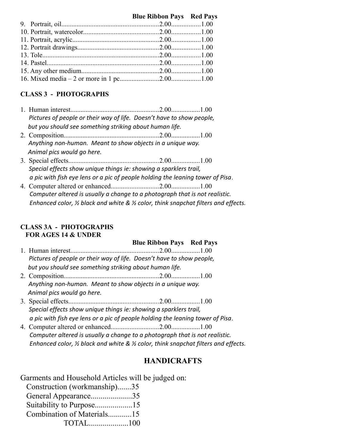#### **Blue Ribbon Pays Red Pays**

### **CLASS 3 - PHOTOGRAPHS**

- 1. Human interest....................................................2.00.................1.00 *Pictures of people or their way of life. Doesn't have to show people, but you should see something striking about human life.*
- 2. Composition........................................................2.00.................1.00 *Anything non-human. Meant to show objects in a unique way. Animal pics would go here.*
- 3. Special effects.....................................................2.00.................1.00 *Special effects show unique things ie: showing a sparklers trail, a pic with fish eye lens or a pic of people holding the leaning tower of Pisa*.
- 4. Computer altered or enhanced............................2.00.................1.00 *Computer altered is usually a change to a photograph that is not realistic. Enhanced color, ½ black and white & ½ color, think snapchat filters and effects.*

#### **CLASS 3A - PHOTOGRAPHS FOR AGES 14 & UNDER**

# **Blue Ribbon Pays Red Pays**

- 1. Human interest....................................................2.00.................1.00 *Pictures of people or their way of life. Doesn't have to show people, but you should see something striking about human life.*
- 2. Composition........................................................2.00.................1.00 *Anything non-human. Meant to show objects in a unique way. Animal pics would go here.*
- 3. Special effects.....................................................2.00.................1.00 *Special effects show unique things ie: showing a sparklers trail, a pic with fish eye lens or a pic of people holding the leaning tower of Pisa*.
- 4. Computer altered or enhanced............................2.00.................1.00 *Computer altered is usually a change to a photograph that is not realistic. Enhanced color, ½ black and white & ½ color, think snapchat filters and effects.*

# **HANDICRAFTS**

Garments and Household Articles will be judged on:

| Construction (workmanship)35 |  |
|------------------------------|--|
| General Appearance35         |  |
| Suitability to Purpose15     |  |
| Combination of Materials15   |  |
|                              |  |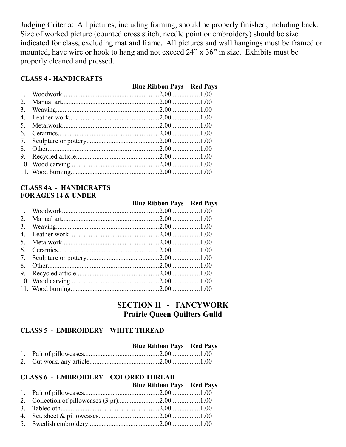Judging Criteria: All pictures, including framing, should be properly finished, including back. Size of worked picture (counted cross stitch, needle point or embroidery) should be size indicated for class, excluding mat and frame. All pictures and wall hangings must be framed or mounted, have wire or hook to hang and not exceed 24" x 36" in size. Exhibits must be properly cleaned and pressed.

#### **CLASS 4 - HANDICRAFTS**

|  | <b>Blue Ribbon Pays Red Pays</b> |
|--|----------------------------------|

#### **CLASS 4A - HANDICRAFTS FOR AGES 14 & UNDER**

 **Blue Ribbon Pays Red Pays**

# **SECTION II - FANCYWORK Prairie Queen Quilters Guild**

# **CLASS 5 - EMBROIDERY – WHITE THREAD**

|  | <b>Blue Ribbon Pays Red Pays</b> |  |
|--|----------------------------------|--|
|  |                                  |  |
|  |                                  |  |

#### **CLASS 6 - EMBROIDERY – COLORED THREAD**

|  | <b>Blue Ribbon Pays Red Pays</b> |  |
|--|----------------------------------|--|
|  |                                  |  |
|  |                                  |  |
|  |                                  |  |
|  |                                  |  |
|  |                                  |  |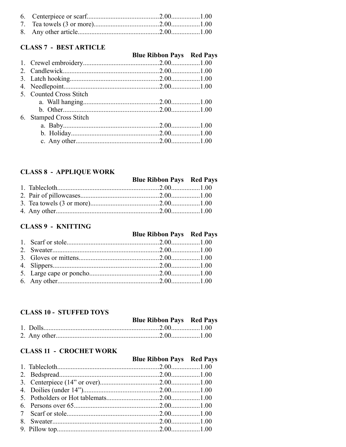#### **CLASS 7 - BEST ARTICLE**

# **Blue Ribbon Pays Red Pays**

| 5. Counted Cross Stitch |  |
|-------------------------|--|
|                         |  |
|                         |  |
| 6. Stamped Cross Stitch |  |
|                         |  |
|                         |  |
|                         |  |
|                         |  |

# **CLASS 8 - APPLIQUE WORK**

|  | <b>Blue Ribbon Pays Red Pays</b> |  |
|--|----------------------------------|--|
|  |                                  |  |

#### **CLASS 9 - KNITTING**

|  | <b>Blue Ribbon Pays Red Pays</b> |  |
|--|----------------------------------|--|
|  |                                  |  |
|  |                                  |  |
|  |                                  |  |
|  |                                  |  |
|  |                                  |  |
|  |                                  |  |

#### **CLASS 10 - STUFFED TOYS**

#### **Blue Ribbon Pays Red Pays**

#### **CLASS 11 - CROCHET WORK**

|  | <b>Blue Ribbon Pays Red Pays</b> |  |
|--|----------------------------------|--|
|  |                                  |  |
|  |                                  |  |
|  |                                  |  |
|  |                                  |  |
|  |                                  |  |
|  |                                  |  |
|  |                                  |  |
|  |                                  |  |
|  |                                  |  |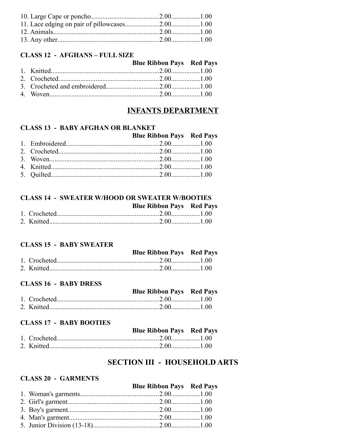#### **CLASS 12 - AFGHANS - FULL SIZE**

|  | <b>Blue Ribbon Pays</b> Red Pays |  |
|--|----------------------------------|--|
|  |                                  |  |
|  |                                  |  |
|  |                                  |  |
|  |                                  |  |

# **INFANTS DEPARTMENT**

#### **CLASS 13 - BABY AFGHAN OR BLANKET**

|  | <b>Blue Ribbon Pays Red Pays</b> |  |
|--|----------------------------------|--|
|  |                                  |  |
|  |                                  |  |
|  |                                  |  |
|  |                                  |  |
|  |                                  |  |

#### **CLASS 14 - SWEATER W/HOOD OR SWEATER W/BOOTIES Blue Ribbon Pays Red Pays**

#### **CLASS 15 - BABY SWEATER**

|  | <b>Blue Ribbon Pays Red Pays</b> |  |
|--|----------------------------------|--|
|  |                                  |  |
|  |                                  |  |

# **CLASS 16 - BABY DRESS**

|  | <b>Blue Ribbon Pays Red Pays</b> |  |
|--|----------------------------------|--|
|  |                                  |  |
|  |                                  |  |

#### **CLASS 17 - BABY BOOTIES**

|  | <b>Blue Ribbon Pays Red Pays</b> |  |
|--|----------------------------------|--|
|  |                                  |  |
|  |                                  |  |

# **SECTION III - HOUSEHOLD ARTS**

#### **CLASS 20 - GARMENTS**

|  | <b>Blue Ribbon Pays Red Pays</b> |  |
|--|----------------------------------|--|
|  |                                  |  |
|  |                                  |  |
|  |                                  |  |
|  |                                  |  |
|  |                                  |  |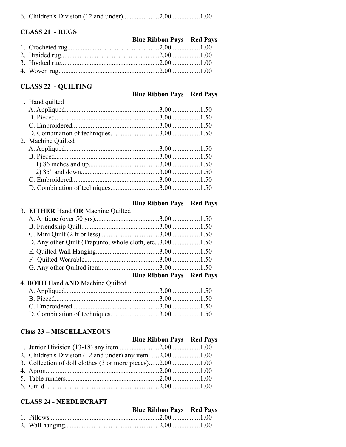|--|--|--|--|--|--|

#### **CLASS 21 - RUGS**

|  | <b>Blue Ribbon Pays Red Pays</b> |  |
|--|----------------------------------|--|
|  |                                  |  |
|  |                                  |  |
|  |                                  |  |
|  |                                  |  |
|  |                                  |  |

#### **CLASS 22 - QUILTING**

#### **Blue Ribbon Pays Red Pays**

| 1. Hand quilted    |  |
|--------------------|--|
|                    |  |
|                    |  |
|                    |  |
|                    |  |
| 2. Machine Quilted |  |
|                    |  |
|                    |  |
|                    |  |
|                    |  |
|                    |  |
|                    |  |
|                    |  |

|                                   | <b>Blue Ribbon Pays Red Pays</b> |  |
|-----------------------------------|----------------------------------|--|
| 3. EITHER Hand OR Machine Quilted |                                  |  |
|                                   |                                  |  |
|                                   |                                  |  |
|                                   |                                  |  |
|                                   |                                  |  |
|                                   |                                  |  |
|                                   |                                  |  |
|                                   |                                  |  |
|                                   | <b>Blue Ribbon Pays Red Pays</b> |  |

#### 4. **BOTH** Hand **AND** Machine Quilted

#### **Class 23 – MISCELLANEOUS**

# **Blue Ribbon Pays Red Pays**

| 2. Children's Division (12 and under) any item2.001.00   |  |
|----------------------------------------------------------|--|
| 3. Collection of doll clothes (3 or more pieces)2.001.00 |  |
|                                                          |  |
|                                                          |  |
|                                                          |  |
|                                                          |  |

### **CLASS 24 - NEEDLECRAFT**

|  | <b>Blue Ribbon Pays Red Pays</b> |  |
|--|----------------------------------|--|
|  |                                  |  |
|  |                                  |  |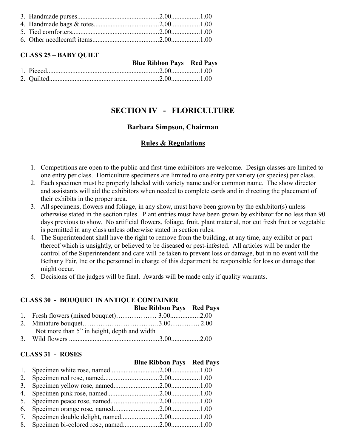#### **CLASS 25 – BABY QUILT**

|  | <b>Blue Ribbon Pays Red Pays</b> |  |
|--|----------------------------------|--|
|  |                                  |  |
|  |                                  |  |

# **SECTION IV - FLORICULTURE**

#### **Barbara Simpson, Chairman**

#### **Rules & Regulations**

- 1. Competitions are open to the public and first-time exhibitors are welcome. Design classes are limited to one entry per class. Horticulture specimens are limited to one entry per variety (or species) per class.
- 2. Each specimen must be properly labeled with variety name and/or common name. The show director and assistants will aid the exhibitors when needed to complete cards and in directing the placement of their exhibits in the proper area.
- 3. All specimens, flowers and foliage, in any show, must have been grown by the exhibitor(s) unless otherwise stated in the section rules. Plant entries must have been grown by exhibitor for no less than 90 days previous to show. No artificial flowers, foliage, fruit, plant material, nor cut fresh fruit or vegetable is permitted in any class unless otherwise stated in section rules.
- 4. The Superintendent shall have the right to remove from the building, at any time, any exhibit or part thereof which is unsightly, or believed to be diseased or pest-infested. All articles will be under the control of the Superintendent and care will be taken to prevent loss or damage, but in no event will the Bethany Fair, Inc or the personnel in charge of this department be responsible for loss or damage that might occur.
- 5. Decisions of the judges will be final. Awards will be made only if quality warrants.

#### **CLASS 30 - BOUQUET IN ANTIQUE CONTAINER**

|                                             | <b>Blue Ribbon Pays Red Pays</b> |  |
|---------------------------------------------|----------------------------------|--|
|                                             |                                  |  |
|                                             |                                  |  |
| Not more than 5" in height, depth and width |                                  |  |
|                                             |                                  |  |

#### **CLASS 31 - ROSES**

|  | <b>Blue Ribbon Pays Red Pays</b> |  |
|--|----------------------------------|--|
|  |                                  |  |
|  |                                  |  |
|  |                                  |  |
|  |                                  |  |
|  |                                  |  |
|  |                                  |  |
|  |                                  |  |
|  |                                  |  |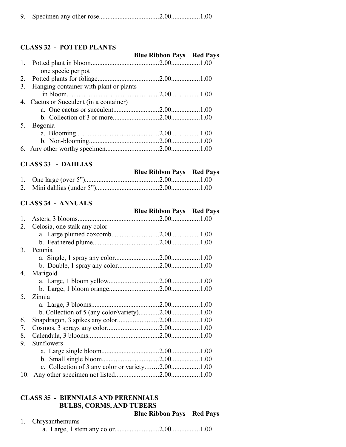|--|--|

#### **CLASS 32 - POTTED PLANTS**

|    | CLASS 32 - POLIED PLANIS                |                                  |  |
|----|-----------------------------------------|----------------------------------|--|
|    |                                         | <b>Blue Ribbon Pays Red Pays</b> |  |
|    |                                         |                                  |  |
|    | one specie per pot                      |                                  |  |
|    |                                         |                                  |  |
| 3. | Hanging container with plant or plants  |                                  |  |
|    |                                         |                                  |  |
|    | 4. Cactus or Succulent (in a container) |                                  |  |
|    |                                         |                                  |  |
|    |                                         |                                  |  |
| 5. | Begonia                                 |                                  |  |
|    |                                         |                                  |  |
|    |                                         |                                  |  |
|    |                                         |                                  |  |
|    |                                         |                                  |  |

#### **CLASS 33 - DAHLIAS**

|  | <b>Blue Ribbon Pays Red Pays</b> |  |
|--|----------------------------------|--|
|  |                                  |  |
|  |                                  |  |

#### **CLASS 34 - ANNUALS**

|    |                                                | <b>Blue Ribbon Pays Red Pays</b> |  |
|----|------------------------------------------------|----------------------------------|--|
| 1. |                                                |                                  |  |
| 2. | Celosia, one stalk any color                   |                                  |  |
|    |                                                |                                  |  |
|    |                                                |                                  |  |
| 3. | Petunia                                        |                                  |  |
|    |                                                |                                  |  |
|    |                                                |                                  |  |
|    | 4. Marigold                                    |                                  |  |
|    |                                                |                                  |  |
|    |                                                |                                  |  |
| 5. | Zinnia                                         |                                  |  |
|    |                                                |                                  |  |
|    | b. Collection of 5 (any color/variety)2.001.00 |                                  |  |
| 6. |                                                |                                  |  |
| 7. |                                                |                                  |  |
| 8. |                                                |                                  |  |
| 9. | Sunflowers                                     |                                  |  |
|    |                                                |                                  |  |
|    |                                                |                                  |  |
|    |                                                |                                  |  |
|    |                                                |                                  |  |

# **CLASS 35 - BIENNIALS AND PERENNIALS BULBS, CORMS, AND TUBERS**

 **Blue Ribbon Pays Red Pays**

#### 1. Chrysanthemums a. Large, 1 stem any color..........................2.00.................1.00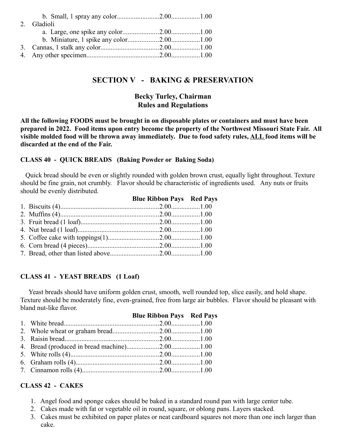| 2. Gladioli |  |
|-------------|--|
|             |  |
|             |  |
|             |  |
|             |  |

# **SECTION V - BAKING & PRESERVATION**

### **Becky Turley, Chairman Rules and Regulations**

**All the following FOODS must be brought in on disposable plates or containers and must have been prepared in 2022. Food items upon entry become the property of the Northwest Missouri State Fair. All visible molded food will be thrown away immediately. Due to food safety rules, ALL food items will be discarded at the end of the Fair.**

#### **CLASS 40 - QUICK BREADS (Baking Powder or Baking Soda)**

 Quick bread should be even or slightly rounded with golden brown crust, equally light throughout. Texture should be fine grain, not crumbly. Flavor should be characteristic of ingredients used. Any nuts or fruits should be evenly distributed.

|  | <b>Blue Ribbon Pays Red Pays</b> |  |
|--|----------------------------------|--|
|  |                                  |  |
|  |                                  |  |
|  |                                  |  |
|  |                                  |  |
|  |                                  |  |
|  |                                  |  |
|  |                                  |  |
|  |                                  |  |

#### **CLASS 41 - YEAST BREADS (1 Loaf)**

 Yeast breads should have uniform golden crust, smooth, well rounded top, slice easily, and hold shape. Texture should be moderately fine, even-grained, free from large air bubbles. Flavor should be pleasant with bland nut-like flavor.

|  | <b>Blue Ribbon Pays Red Pays</b> |  |
|--|----------------------------------|--|
|  |                                  |  |
|  |                                  |  |
|  |                                  |  |
|  |                                  |  |
|  |                                  |  |
|  |                                  |  |
|  |                                  |  |
|  |                                  |  |

#### **CLASS 42 - CAKES**

- 1. Angel food and sponge cakes should be baked in a standard round pan with large center tube.
- 2. Cakes made with fat or vegetable oil in round, square, or oblong pans. Layers stacked.
- 3. Cakes must be exhibited on paper plates or neat cardboard squares not more than one inch larger than cake.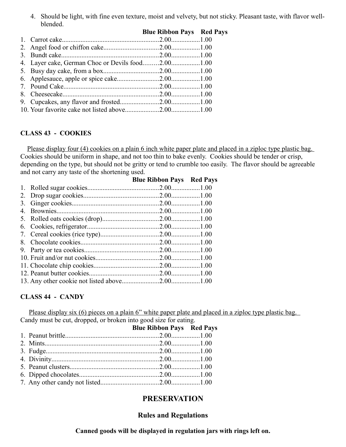4. Should be light, with fine even texture, moist and velvety, but not sticky. Pleasant taste, with flavor wellblended.

|                                                   | <b>Blue Ribbon Pays Red Pays</b> |  |
|---------------------------------------------------|----------------------------------|--|
|                                                   |                                  |  |
|                                                   |                                  |  |
|                                                   |                                  |  |
| 4. Layer cake, German Choc or Devils food2.001.00 |                                  |  |
|                                                   |                                  |  |
|                                                   |                                  |  |
|                                                   |                                  |  |
|                                                   |                                  |  |
|                                                   |                                  |  |
|                                                   |                                  |  |
|                                                   |                                  |  |

#### **CLASS 43 - COOKIES**

Please display four (4) cookies on a plain 6 inch white paper plate and placed in a ziploc type plastic bag. Cookies should be uniform in shape, and not too thin to bake evenly. Cookies should be tender or crisp, depending on the type, but should not be gritty or tend to crumble too easily. The flavor should be agreeable and not carry any taste of the shortening used.

|    | <b>Blue Ribbon Pays Red Pays</b> |  |
|----|----------------------------------|--|
|    |                                  |  |
|    |                                  |  |
|    |                                  |  |
| 4. |                                  |  |
|    |                                  |  |
|    |                                  |  |
|    |                                  |  |
| 8. |                                  |  |
|    |                                  |  |
|    |                                  |  |
|    |                                  |  |
|    |                                  |  |
|    |                                  |  |

#### **CLASS 44 - CANDY**

Please display six (6) pieces on a plain 6" white paper plate and placed in a ziploc type plastic bag. Candy must be cut, dropped, or broken into good size for eating.

|  | <b>Blue Ribbon Pays Red Pays</b> |  |
|--|----------------------------------|--|
|  |                                  |  |
|  |                                  |  |
|  |                                  |  |
|  |                                  |  |
|  |                                  |  |
|  |                                  |  |
|  |                                  |  |

# **PRESERVATION**

#### **Rules and Regulations**

**Canned goods will be displayed in regulation jars with rings left on.**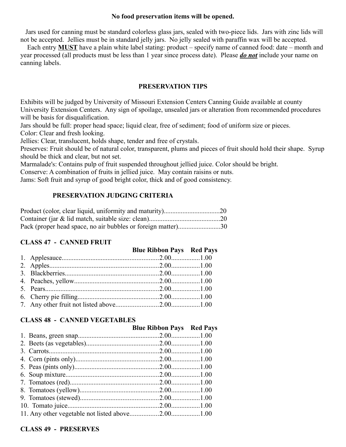#### **No food preservation items will be opened.**

 Jars used for canning must be standard colorless glass jars, sealed with two-piece lids. Jars with zinc lids will not be accepted. Jellies must be in standard jelly jars. No jelly sealed with paraffin wax will be accepted.

 Each entry **MUST** have a plain white label stating: product – specify name of canned food: date – month and year processed (all products must be less than 1 year since process date). Please *do not* include your name on canning labels.

#### **PRESERVATION TIPS**

Exhibits will be judged by University of Missouri Extension Centers Canning Guide available at county University Extension Centers. Any sign of spoilage, unsealed jars or alteration from recommended procedures will be basis for disqualification.

Jars should be full: proper head space; liquid clear, free of sediment; food of uniform size or pieces.

Color: Clear and fresh looking.

Jellies: Clear, translucent, holds shape, tender and free of crystals.

Preserves: Fruit should be of natural color, transparent, plums and pieces of fruit should hold their shape. Syrup should be thick and clear, but not set.

Marmalade's: Contains pulp of fruit suspended throughout jellied juice. Color should be bright.

Conserve: A combination of fruits in jellied juice. May contain raisins or nuts.

Jams: Soft fruit and syrup of good bright color, thick and of good consistency.

#### **PRESERVATION JUDGING CRITERIA**

| Pack (proper head space, no air bubbles or foreign matter)30 |  |
|--------------------------------------------------------------|--|

#### **CLASS 47 - CANNED FRUIT**

|  | <b>Blue Ribbon Pays Red Pays</b> |  |
|--|----------------------------------|--|
|  |                                  |  |
|  |                                  |  |
|  |                                  |  |
|  |                                  |  |
|  |                                  |  |
|  |                                  |  |
|  |                                  |  |

#### **CLASS 48 - CANNED VEGETABLES**

| <b>Blue Ribbon Pays Red Pays</b> |  |
|----------------------------------|--|
|                                  |  |
|                                  |  |
|                                  |  |
|                                  |  |
|                                  |  |
|                                  |  |
|                                  |  |
|                                  |  |
|                                  |  |
|                                  |  |
|                                  |  |

#### **CLASS 49 - PRESERVES**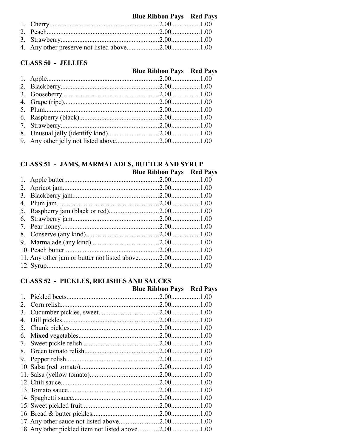# **Blue Ribbon Pays Red Pays**

#### **CLASS 50 - JELLIES**

# **Blue Ribbon Pays Red Pays**

# **CLASS 51 - JAMS, MARMALADES, BUTTER AND SYRUP**

|  | <b>Blue Ribbon Pays Red Pays</b> |  |
|--|----------------------------------|--|
|  |                                  |  |
|  |                                  |  |
|  |                                  |  |
|  |                                  |  |
|  |                                  |  |
|  |                                  |  |
|  |                                  |  |
|  |                                  |  |
|  |                                  |  |
|  |                                  |  |
|  |                                  |  |
|  |                                  |  |

# **CLASS 52 - PICKLES, RELISHES AND SAUCES**

|    |                                                     | <b>Blue Ribbon Pays Red Pays</b> |  |
|----|-----------------------------------------------------|----------------------------------|--|
|    |                                                     |                                  |  |
|    |                                                     |                                  |  |
| 3. |                                                     |                                  |  |
| 4. |                                                     |                                  |  |
| 5. |                                                     |                                  |  |
| 6. |                                                     |                                  |  |
| 7. |                                                     |                                  |  |
| 8. |                                                     |                                  |  |
| 9. |                                                     |                                  |  |
|    |                                                     |                                  |  |
|    |                                                     |                                  |  |
|    |                                                     |                                  |  |
|    |                                                     |                                  |  |
|    |                                                     |                                  |  |
|    |                                                     |                                  |  |
|    |                                                     |                                  |  |
|    |                                                     |                                  |  |
|    | 18. Any other pickled item not listed above2.001.00 |                                  |  |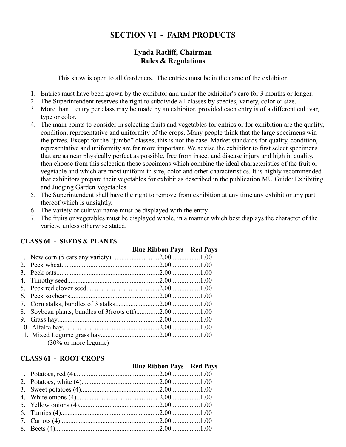# **SECTION VI - FARM PRODUCTS**

### **Lynda Ratliff, Chairman Rules & Regulations**

This show is open to all Gardeners. The entries must be in the name of the exhibitor.

- 1. Entries must have been grown by the exhibitor and under the exhibitor's care for 3 months or longer.
- 2. The Superintendent reserves the right to subdivide all classes by species, variety, color or size.
- 3. More than 1 entry per class may be made by an exhibitor, provided each entry is of a different cultivar, type or color.
- 4. The main points to consider in selecting fruits and vegetables for entries or for exhibition are the quality, condition, representative and uniformity of the crops. Many people think that the large specimens win the prizes. Except for the "jumbo" classes, this is not the case. Market standards for quality, condition, representative and uniformity are far more important. We advise the exhibitor to first select specimens that are as near physically perfect as possible, free from insect and disease injury and high in quality, then choose from this selection those specimens which combine the ideal characteristics of the fruit or vegetable and which are most uniform in size, color and other characteristics. It is highly recommended that exhibitors prepare their vegetables for exhibit as described in the publication MU Guide: Exhibiting and Judging Garden Vegetables
- 5. The Superintendent shall have the right to remove from exhibition at any time any exhibit or any part thereof which is unsightly.
- 6. The variety or cultivar name must be displayed with the entry.
- 7. The fruits or vegetables must be displayed whole, in a manner which best displays the character of the variety, unless otherwise stated.

#### **CLASS 60 - SEEDS & PLANTS**

|                |                                 | <b>Blue Ribbon Pays Red Pays</b> |  |
|----------------|---------------------------------|----------------------------------|--|
|                |                                 |                                  |  |
| 2 <sub>1</sub> |                                 |                                  |  |
|                |                                 |                                  |  |
|                |                                 |                                  |  |
|                |                                 |                                  |  |
|                |                                 |                                  |  |
|                |                                 |                                  |  |
|                |                                 |                                  |  |
|                |                                 |                                  |  |
|                |                                 |                                  |  |
|                |                                 |                                  |  |
|                | $(30\% \text{ or more legume})$ |                                  |  |

#### **CLASS 61 - ROOT CROPS**

|  | <b>Blue Ribbon Pays Red Pays</b> |  |
|--|----------------------------------|--|
|  |                                  |  |
|  |                                  |  |
|  |                                  |  |
|  |                                  |  |
|  |                                  |  |
|  |                                  |  |
|  |                                  |  |
|  |                                  |  |
|  |                                  |  |